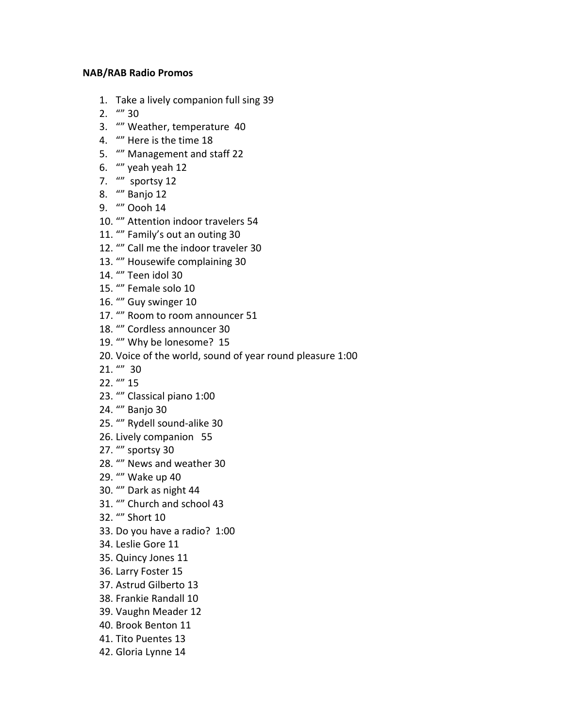## **NAB/RAB Radio Promos**

- 1. Take a lively companion full sing 39
- 2.  $\frac{uv}{30}$
- 3. "" Weather, temperature 40
- 4. "" Here is the time 18
- 5. "" Management and staff 22
- 6. "" yeah yeah 12
- 7. "" sportsy 12
- 8. "" Banjo 12
- 9. "" Oooh 14
- 10. "" Attention indoor travelers 54
- 11. "" Family's out an outing 30
- 12. "" Call me the indoor traveler 30
- 13. "" Housewife complaining 30
- 14. "" Teen idol 30
- 15. "" Female solo 10
- 16. "" Guy swinger 10
- 17. "" Room to room announcer 51
- 18. "" Cordless announcer 30
- 19. "" Why be lonesome? 15
- 20. Voice of the world, sound of year round pleasure 1:00
- 21. "" 30
- 22. "" 15
- 23. "" Classical piano 1:00
- 24. "" Banjo 30
- 25. "" Rydell sound-alike 30
- 26. Lively companion 55
- 27. "" sportsy 30
- 28. "" News and weather 30
- 29. "" Wake up 40
- 30. "" Dark as night 44
- 31. "" Church and school 43
- 32. "" Short 10
- 33. Do you have a radio? 1:00
- 34. Leslie Gore 11
- 35. Quincy Jones 11
- 36. Larry Foster 15
- 37. Astrud Gilberto 13
- 38. Frankie Randall 10
- 39. Vaughn Meader 12
- 40. Brook Benton 11
- 41. Tito Puentes 13
- 42. Gloria Lynne 14